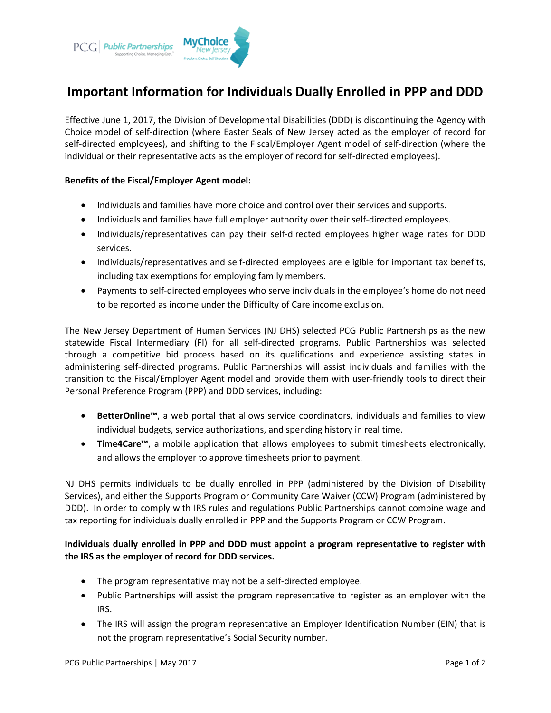

# **Important Information for Individuals Dually Enrolled in PPP and DDD**

Effective June 1, 2017, the Division of Developmental Disabilities (DDD) is discontinuing the Agency with Choice model of self-direction (where Easter Seals of New Jersey acted as the employer of record for self-directed employees), and shifting to the Fiscal/Employer Agent model of self-direction (where the individual or their representative acts as the employer of record for self-directed employees).

#### **Benefits of the Fiscal/Employer Agent model:**

- Individuals and families have more choice and control over their services and supports.
- Individuals and families have full employer authority over their self-directed employees.
- Individuals/representatives can pay their self-directed employees higher wage rates for DDD services.
- Individuals/representatives and self-directed employees are eligible for important tax benefits, including tax exemptions for employing family members.
- Payments to self-directed employees who serve individuals in the employee's home do not need to be reported as income under the Difficulty of Care income exclusion.

The New Jersey Department of Human Services (NJ DHS) selected PCG Public Partnerships as the new statewide Fiscal Intermediary (FI) for all self-directed programs. Public Partnerships was selected through a competitive bid process based on its qualifications and experience assisting states in administering self-directed programs. Public Partnerships will assist individuals and families with the transition to the Fiscal/Employer Agent model and provide them with user-friendly tools to direct their Personal Preference Program (PPP) and DDD services, including:

- **BetterOnline™**, a web portal that allows service coordinators, individuals and families to view individual budgets, service authorizations, and spending history in real time.
- **Time4Care™**, a mobile application that allows employees to submit timesheets electronically, and allows the employer to approve timesheets prior to payment.

NJ DHS permits individuals to be dually enrolled in PPP (administered by the Division of Disability Services), and either the Supports Program or Community Care Waiver (CCW) Program (administered by DDD). In order to comply with IRS rules and regulations Public Partnerships cannot combine wage and tax reporting for individuals dually enrolled in PPP and the Supports Program or CCW Program.

### **Individuals dually enrolled in PPP and DDD must appoint a program representative to register with the IRS as the employer of record for DDD services.**

- The program representative may not be a self-directed employee.
- Public Partnerships will assist the program representative to register as an employer with the IRS.
- The IRS will assign the program representative an Employer Identification Number (EIN) that is not the program representative's Social Security number.